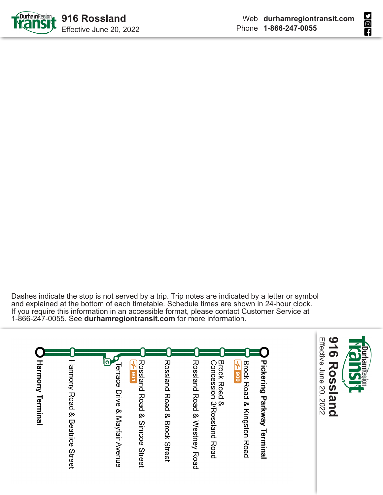



Dashes indicate the stop is not served by a trip. Trip notes are indicated by a letter or symbol and explained at the bottom of each timetable. Schedule times are shown in 24-hour clock. If you require this information in an accessible format, please contact Customer Service at 1-866-247-0055. See **durhamregiontransit.com** for more information.

| Harmony Terminal | Harmony Road<br>Q,<br>Beatrice<br><b>Street</b> | <b>Terrace Drive &amp; Mayfair Avenue</b> | Rossland<br>$-106E$<br><b>Road &amp;</b><br>Simcoe<br><b>Street</b> | Rossland<br>Road<br>ŵ<br><b>Brock Street</b> | Rossland Road & Westney Road | <b>Brock Road</b><br>Concession 3/Rossland Road<br><b>بہ</b> | <b>Brock Road</b><br>$\frac{1}{2000}$<br>& Kingston<br><b>Road</b> | <b>Pickering Parkway Terminal</b> |
|------------------|-------------------------------------------------|-------------------------------------------|---------------------------------------------------------------------|----------------------------------------------|------------------------------|--------------------------------------------------------------|--------------------------------------------------------------------|-----------------------------------|

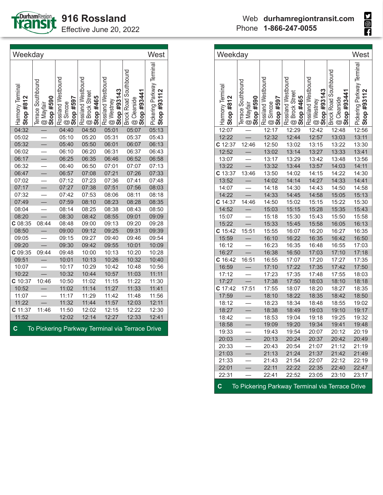

| Weekday<br>West                                                |                                              |                                                    |                                                          |                                                |                                                            |                                           |  |
|----------------------------------------------------------------|----------------------------------------------|----------------------------------------------------|----------------------------------------------------------|------------------------------------------------|------------------------------------------------------------|-------------------------------------------|--|
| Harmony Terminal<br>Stop $#812$                                | Terrace Southbound<br>@ Mayfair<br>Stop #590 | Rossland Westbound<br><b>@</b> Simcoe<br>Stop #597 | Rossland Westbound<br><b>@</b> Brock Street<br>Stop #465 | Rossland Westbound<br>Stop #93143<br>@ Westney | <b>Brock Road Southbound</b><br>Stop #93441<br>@ Clearside | Pickering Parkway Terminal<br>Stop #93112 |  |
| 04:32                                                          |                                              | 04:40                                              | 04:50                                                    | 05:01                                          | 05:07                                                      | 05:13                                     |  |
| 05:02                                                          |                                              | 05:10                                              | 05:20                                                    | 05:31                                          | 05:37                                                      | 05:43                                     |  |
| 05:32                                                          |                                              | 05:40                                              | 05:50                                                    | 06:01                                          | 06:07                                                      | 06:13                                     |  |
| 06:02                                                          |                                              | 06:10                                              | 06:20                                                    | 06:31                                          | 06:37                                                      | 06:43                                     |  |
| 06:17                                                          | $\overline{\phantom{0}}$                     | 06:25                                              | 06:35                                                    | 06:46                                          | 06:52                                                      | 06:58                                     |  |
| 06:32                                                          |                                              | 06:40                                              | 06:50                                                    | 07:01                                          | 07:07                                                      | 07:13                                     |  |
| 06:47                                                          |                                              | 06:57                                              | 07:08                                                    | 07:21                                          | 07:26                                                      | 07:33                                     |  |
| 07:02                                                          |                                              | 07:12                                              | 07:23                                                    | 07:36                                          | 07:41                                                      | 07:48                                     |  |
| 07:17                                                          |                                              | 07:27                                              | 07:38                                                    | 07:51                                          | 07:56                                                      | 08:03                                     |  |
| 07:32                                                          |                                              | 07:42                                              | 07:53                                                    | 08:06                                          | 08:11                                                      | 08:18                                     |  |
| 07:49                                                          |                                              | 07:59                                              | 08:10                                                    | 08:23                                          | 08:28                                                      | 08:35                                     |  |
| 08:04                                                          |                                              | 08:14                                              | 08:25                                                    | 08:38                                          | 08:43                                                      | 08:50                                     |  |
| 08:20                                                          |                                              | 08:30                                              | 08:42                                                    | 08:55                                          | 09:01                                                      | 09:09                                     |  |
| C08:35                                                         | 08:44                                        | 08:48                                              | 09:00                                                    | 09:13                                          | 09:20                                                      | 09:28                                     |  |
| 08:50                                                          |                                              | 09:00                                              | 09:12                                                    | 09:25                                          | 09:31                                                      | 09:39                                     |  |
| 09:05                                                          |                                              | 09:15                                              | 09:27                                                    | 09:40                                          | 09:46                                                      | 09:54                                     |  |
| 09:20                                                          |                                              | 09:30                                              | 09:42                                                    | 09:55                                          | 10:01                                                      | 10:09                                     |  |
| C 09:35                                                        | 09:44                                        | 09:48                                              | 10:00                                                    | 10:13                                          | 10:20                                                      | 10:28                                     |  |
| 09:51                                                          |                                              | 10:01                                              | 10:13                                                    | 10:26                                          | 10:32                                                      | 10:40                                     |  |
| 10:07                                                          |                                              | 10:17                                              | 10:29                                                    | 10:42                                          | 10:48                                                      | 10:56                                     |  |
| 10:22                                                          |                                              | 10:32                                              | 10:44                                                    | 10:57                                          | 11:03                                                      | 11:11                                     |  |
| C 10:37                                                        | 10:46                                        | 10:50                                              | 11:02                                                    | 11:15                                          | 11:22                                                      | 11:30                                     |  |
| 10:52                                                          |                                              | 11:02                                              | 11:14                                                    | 11:27                                          | 11:33                                                      | 11:41                                     |  |
| 11:07                                                          |                                              | 11:17                                              | 11:29                                                    | 11:42                                          | 11:48                                                      | 11:56                                     |  |
| 11:22                                                          |                                              | 11:32                                              | 11:44                                                    | 11:57                                          | 12:03                                                      | 12:11                                     |  |
| C 11:37                                                        | 11:46                                        | 11:50                                              | 12:02                                                    | 12:15                                          | 12:22                                                      | 12:30                                     |  |
| 11:52                                                          |                                              | 12:02                                              | 12:14                                                    | 12:27                                          | 12:33                                                      | 12:41                                     |  |
| $\mathbf c$<br>To Pickering Parkway Terminal via Terrace Drive |                                              |                                                    |                                                          |                                                |                                                            |                                           |  |

| Weekday                       |                                              |                                             |                                                          |                                                |                                                                    | West                                      |
|-------------------------------|----------------------------------------------|---------------------------------------------|----------------------------------------------------------|------------------------------------------------|--------------------------------------------------------------------|-------------------------------------------|
| Harmony Terminal<br>Stop #812 | Terrace Southbound<br>© Mayfair<br>Stop #590 | Rossland Westbound<br>Stop #597<br>@ Simcoe | Rossland Westbound<br><b>@ Brock Street</b><br>Stop #465 | Rossland Westbound<br>Stop #93143<br>@ Westney | <b>Brock Road Southbound</b><br>#93441<br>@ Clearside<br>top<br>ທັ | Pickering Parkway Terminal<br>Stop #93112 |
| 12:07                         |                                              | 12:17                                       | 12:29                                                    | 12:42                                          | 12:48                                                              | 12:56                                     |
| 12:22                         |                                              | 12:32                                       | 12:44                                                    | 12:57                                          | 13:03                                                              | 13:11                                     |
| C 12:37                       | 12:46                                        | 12:50                                       | 13:02                                                    | 13:15                                          | 13:22                                                              | 13:30                                     |
| 12:52                         |                                              | 13:02                                       | 13:14                                                    | 13:27                                          | 13:33                                                              | 13:41                                     |
| 13:07                         |                                              | 13:17                                       | 13:29                                                    | 13:42                                          | 13:48                                                              | 13:56                                     |
| 13:22                         |                                              | 13:32                                       | 13:44                                                    | 13:57                                          | 14:03                                                              | 14:11                                     |
| C 13:37                       | 13:46                                        | 13:50                                       | 14:02                                                    | 14:15                                          | 14:22                                                              | 14:30                                     |
| 13:52                         |                                              | 14:02                                       | 14:14                                                    | 14:27                                          | 14:33                                                              | 14:41                                     |
| 14:07                         |                                              | 14:18                                       | 14:30                                                    | 14:43                                          | 14:50                                                              | 14:58                                     |
| 14:22                         |                                              | 14:33                                       | 14:45                                                    | 14:58                                          | 15:05                                                              | 15:13                                     |
| C 14:37                       | 14:46                                        | 14:50                                       | 15:02                                                    | 15:15                                          | 15:22                                                              | 15:30                                     |
| 14:52                         |                                              | 15:03                                       | 15:15                                                    | 15:28                                          | 15:35                                                              | 15:43                                     |
| 15:07                         |                                              | 15:18                                       | 15:30                                                    | 15:43                                          | 15:50                                                              | 15:58                                     |
| 15:22                         |                                              | 15:33                                       | 15:45                                                    | 15:58                                          | 16:05                                                              | 16:13                                     |
| $C$ 15:42                     | 15:51                                        | 15:55                                       | 16:07                                                    | 16:20                                          | 16:27                                                              | 16:35                                     |
| 15:59                         |                                              | 16:10                                       | 16:22                                                    | 16:35                                          | 16:42                                                              | 16:50                                     |
| 16:12                         |                                              | 16:23                                       | 16:35                                                    | 16:48                                          | 16:55                                                              | 17:03                                     |
| 16:27                         |                                              | 16:38                                       | 16:50                                                    | 17:03                                          | 17:10                                                              | 17:18                                     |
| C 16:42                       | 16:51                                        | 16:55                                       | 17:07                                                    | 17:20                                          | 17:27                                                              | 17:35                                     |
| 16:59                         |                                              | 17:10                                       | 17:22                                                    | 17:35                                          | 17:42                                                              | 17:50                                     |
| 17:12                         |                                              | 17:23                                       | 17:35                                                    | 17:48                                          | 17:55                                                              | 18:03                                     |
| 17:27                         |                                              | 17:38                                       | 17:50                                                    | 18:03                                          | 18:10                                                              | 18:18                                     |
| $C$ 17:42                     | 17:51                                        | 17:55                                       | 18:07                                                    | 18:20                                          | 18:27                                                              | 18:35                                     |
| 17:59                         |                                              | 18:10                                       | 18:22                                                    | 18:35                                          | 18:42                                                              | 18:50                                     |
| 18:12                         |                                              | 18:23                                       | 18:34                                                    | 18:48                                          | 18:55                                                              | 19:02                                     |
| 18:27                         |                                              | 18:38                                       | 18:49                                                    | 19:03                                          | 19:10                                                              | 19:17                                     |
| 18:42                         |                                              | 18:53                                       | 19:04                                                    | 19:18<br>19:34                                 | 19:25                                                              | 19:32                                     |
| 18:58                         |                                              | 19:09                                       | 19:20                                                    |                                                | 19:41                                                              | 19:48                                     |
| 19:33                         |                                              | 19:43                                       | 19:54                                                    | 20:07                                          | 20:12                                                              | 20:19                                     |
| 20:03                         |                                              | 20:13                                       | 20:24                                                    | 20:37                                          | 20:42                                                              | 20:49                                     |
| 20:33                         |                                              | 20:43                                       | 20:54                                                    | 21:07                                          | 21:12                                                              | 21:19                                     |
| 21:03                         |                                              | 21:13                                       | 21:24                                                    | 21:37                                          | 21:42                                                              | 21:49                                     |
| 21:33                         |                                              | 21:43                                       | 21:54                                                    | 22:07                                          | 22:12                                                              | 22:19                                     |
| 22:01<br>22:31                |                                              | 22:11                                       | 22:22                                                    | 22:35                                          | 22:40                                                              | 22:47                                     |
|                               |                                              | 22:41                                       | 22:52                                                    | 23:05                                          | 23:10                                                              | 23:17                                     |
| $\mathbf C$                   |                                              |                                             |                                                          |                                                | To Pickering Parkway Terminal via Terrace Drive                    |                                           |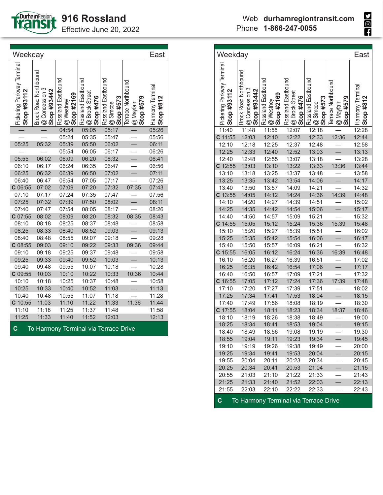

| Weekday                                   |                                                               |                                               |                                                          |                                             |                                                     | East                            |
|-------------------------------------------|---------------------------------------------------------------|-----------------------------------------------|----------------------------------------------------------|---------------------------------------------|-----------------------------------------------------|---------------------------------|
| Pickering Parkway Terminal<br>Stop #93112 | <b>Brock Road Northbound</b><br>@ Concession 3<br>Stop #93442 | Rossland Eastbound<br>Stop #2169<br>@ Westney | Rossland Eastbound<br><b>@</b> Brock Street<br>Stop #476 | Rossland Eastbound<br>Stop #573<br>@ Simcoe | Terrace Northbound<br><b>@</b> Mayfair<br>Stop #579 | Harmony Terminal<br>Stop $#812$ |
|                                           |                                                               | 04:54                                         | 05:05                                                    | 05:17                                       |                                                     | 05:26                           |
|                                           |                                                               | 05:24                                         | 05:35                                                    | 05:47                                       |                                                     | 05:56                           |
| 05:25                                     | 05:32                                                         | 05:39                                         | 05:50                                                    | 06:02                                       |                                                     | 06:11                           |
|                                           |                                                               | 05:54                                         | 06:05                                                    | 06:17                                       |                                                     | 06:26                           |
| 05:55                                     | 06:02                                                         | 06:09                                         | 06:20                                                    | 06:32                                       | $\overline{\phantom{0}}$                            | 06:41                           |
| 06:10                                     | 06:17                                                         | 06:24                                         | 06:35                                                    | 06:47                                       |                                                     | 06:56                           |
| 06:25                                     | 06:32                                                         | 06:39                                         | 06:50                                                    | 07:02                                       |                                                     | 07:11                           |
| 06:40                                     | 06:47                                                         | 06:54                                         | 07:05                                                    | 07:17                                       |                                                     | 07:26                           |
| $C$ 06:55                                 | 07:02                                                         | 07:09                                         | 07:20                                                    | 07:32                                       | 07:35                                               | 07:43                           |
| 07:10                                     | 07:17                                                         | 07:24                                         | 07:35                                                    | 07:47                                       |                                                     | 07:56                           |
| 07:25                                     | 07:32                                                         | 07:39                                         | 07:50                                                    | 08:02                                       |                                                     | 08:11                           |
| 07:40                                     | 07:47                                                         | 07:54                                         | 08:05                                                    | 08:17                                       |                                                     | 08:26                           |
| $C$ 07:55                                 | 08:02                                                         | 08:09                                         | 08:20                                                    | 08:32                                       | 08:35                                               | 08:43                           |
| 08:10                                     | 08:18                                                         | 08:25                                         | 08:37                                                    | 08:48                                       |                                                     | 08:58                           |
| 08:25                                     | 08:33                                                         | 08:40                                         | 08:52                                                    | 09:03                                       |                                                     | 09:13                           |
| 08:40                                     | 08:48                                                         | 08:55                                         | 09:07                                                    | 09:18                                       |                                                     | 09:28                           |
| $C$ 08:55                                 | 09:03                                                         | 09:10                                         | 09:22                                                    | 09:33                                       | 09:36                                               | 09:44                           |
| 09:10                                     | 09:18                                                         | 09:25                                         | 09:37                                                    | 09:48                                       |                                                     | 09:58                           |
| 09:25                                     | 09:33                                                         | 09:40                                         | 09:52                                                    | 10:03                                       |                                                     | 10:13                           |
| 09:40                                     | 09:48                                                         | 09:55                                         | 10:07                                                    | 10:18                                       |                                                     | 10:28                           |
| $C$ 09:55                                 | 10:03                                                         | 10:10                                         | 10:22                                                    | 10:33                                       | 10:36                                               | 10:44                           |
| 10:10                                     | 10:18                                                         | 10:25                                         | 10:37                                                    | 10:48                                       |                                                     | 10:58                           |
| 10:25                                     | 10:33                                                         | 10:40                                         | 10:52                                                    | 11:03                                       |                                                     | 11:13                           |
| 10:40                                     | 10:48                                                         | 10:55                                         | 11:07                                                    | 11:18                                       |                                                     | 11:28                           |
| $C$ 10:55                                 | 11:03                                                         | 11:10                                         | 11:22                                                    | 11:33                                       | 11:36                                               | 11:44                           |
| 11:10                                     | 11:18                                                         | 11:25                                         | 11:37                                                    | 11:48                                       |                                                     | 11:58                           |
| 11:25                                     | 11:33                                                         | 11:40                                         | 11:52                                                    | 12:03                                       |                                                     | 12:13                           |
| $\overline{c}$                            |                                                               | To Harmony Terminal via Terrace Drive         |                                                          |                                             |                                                     |                                 |

| Weekday                                   |                                                           |                                               |                                                                |                                                                        |                                                 | East                          |
|-------------------------------------------|-----------------------------------------------------------|-----------------------------------------------|----------------------------------------------------------------|------------------------------------------------------------------------|-------------------------------------------------|-------------------------------|
| Pickering Parkway Terminal<br>Stop #93112 | <b>Brock Road Northbound</b><br>$\frac{1}{3}$ Stop #93442 | Rossland Eastbound<br>Stop #2169<br>@ Westney | , Rossland Eastbound<br>3 @ Brock Street<br>1 <b>Stop #476</b> | Rossland Eastbound<br>$\frac{\textcircled{\tiny 0}}{\text{Stop H573}}$ | Terrace Northbound<br>#579<br>@ Mayfair<br>Stop | Harmony Terminal<br>Stop #812 |
| 11:40                                     | 11:48                                                     | 11:55                                         | 12:07                                                          | 12:18                                                                  |                                                 | 12:28                         |
| C 11:55                                   | 12:03                                                     | 12:10                                         | 12:22                                                          | 12:33                                                                  | 12:36                                           | 12:44                         |
| 12:10                                     | 12:18                                                     | 12:25                                         | 12:37                                                          | 12:48                                                                  |                                                 | 12:58                         |
| 12:25                                     | 12:33                                                     | 12:40                                         | 12:52                                                          | 13:03                                                                  |                                                 | 13:13                         |
| 12:40                                     | 12:48                                                     | 12:55                                         | 13:07                                                          | 13:18                                                                  |                                                 | 13:28                         |
| $C$ 12:55                                 | 13:03                                                     | 13:10                                         | 13:22                                                          | 13:33                                                                  | 13:36                                           | 13:44                         |
| 13:10                                     | 13:18                                                     | 13:25                                         | 13:37                                                          | 13:48                                                                  |                                                 | 13:58                         |
| 13:25                                     | 13:35                                                     | 13:42                                         | 13:54                                                          | 14:06                                                                  | $\equiv$                                        | 14:17                         |
| 13:40                                     | 13:50                                                     | 13:57                                         | 14:09                                                          | 14:21                                                                  |                                                 | 14:32                         |
| $C$ 13:55                                 | 14:05                                                     | 14:12                                         | 14:24                                                          | 14:36                                                                  | 14:39                                           | 14:48                         |
| 14:10                                     | 14:20                                                     | 14:27                                         | 14:39                                                          | 14:51                                                                  |                                                 | 15:02                         |
| 14:25                                     | 14:35                                                     | 14:42                                         | 14:54                                                          | 15:06                                                                  |                                                 | 15:17                         |
| 14:40                                     | 14:50                                                     | 14:57                                         | 15:09                                                          | 15:21                                                                  |                                                 | 15:32                         |
| $C$ 14:55                                 | 15:05                                                     | 15:12                                         | 15:24                                                          | 15:36                                                                  | 15:39                                           | 15:48                         |
| 15:10                                     | 15:20                                                     | 15:27                                         | 15:39                                                          | 15:51                                                                  |                                                 | 16:02                         |
| 15:25                                     | 15:35                                                     | 15:42                                         | 15:54                                                          | 16:06                                                                  |                                                 | 16:17                         |
| 15:40                                     | 15:50                                                     | 15:57                                         | 16:09                                                          | 16:21                                                                  |                                                 | 16:32                         |
| $C$ 15:55                                 | 16:05                                                     | 16:12                                         | 16:24                                                          | 16:36                                                                  | 16:39                                           | 16:48                         |
| 16:10                                     | 16:20                                                     | 16:27                                         | 16:39                                                          | 16:51                                                                  |                                                 | 17:02                         |
| 16:25                                     | 16:35                                                     | 16:42                                         | 16:54                                                          | 17:06                                                                  |                                                 | 17:17                         |
| 16:40                                     | 16:50                                                     | 16:57                                         | 17:09                                                          | 17:21                                                                  |                                                 | 17:32                         |
| $C$ 16:55                                 | 17:05                                                     | 17:12                                         | 17:24                                                          | 17:36                                                                  | 17:39                                           | 17:48                         |
| 17:10                                     | 17:20                                                     | 17:27                                         | 17:39                                                          | 17:51                                                                  |                                                 | 18:02                         |
| 17:25                                     | 17:34                                                     | 17:41                                         | 17:53                                                          | 18:04                                                                  |                                                 | 18:15                         |
| 17:40                                     | 17:49                                                     | 17:56                                         | 18:08                                                          | 18:19                                                                  |                                                 | 18:30                         |
| C 17:55                                   | 18:04                                                     | 18:11                                         | 18:23                                                          | 18:34                                                                  | 18:37                                           | 18:46                         |
| 18:10                                     | 18:19                                                     | 18:26                                         | 18:38                                                          | 18:49                                                                  |                                                 | 19:00                         |
| 18:25                                     | 18:34                                                     | 18:41                                         | 18:53                                                          | 19:04                                                                  |                                                 | 19:15                         |
| 18:40                                     | 18:49                                                     | 18:56                                         | 19:08                                                          | 19:19                                                                  |                                                 | 19:30                         |
| 18:55                                     | 19:04                                                     | 19:11                                         | 19:23                                                          | 19:34                                                                  |                                                 | 19:45                         |
| 19:10                                     | 19:19                                                     | 19:26                                         | 19:38                                                          | 19:49                                                                  |                                                 | 20:00                         |
| 19:25                                     | 19:34                                                     | 19:41                                         | 19:53                                                          | 20:04                                                                  |                                                 | 20:15                         |
| 19:55                                     | 20:04                                                     | 20:11                                         | 20:23                                                          | 20:34                                                                  |                                                 | 20:45                         |
| 20:25                                     | 20:34                                                     | 20:41                                         | 20:53                                                          | 21:04                                                                  |                                                 | 21:15                         |
| 20:55                                     | 21:03                                                     | 21:10                                         | 21:22                                                          | 21:33                                                                  |                                                 | 21:43                         |
| 21:25                                     | 21:33                                                     | 21:40                                         | 21:52                                                          | 22:03                                                                  |                                                 | 22:13                         |
| 21:55                                     | 22:03                                                     | 22:10                                         | 22:22                                                          | 22:33                                                                  |                                                 | 22:43                         |
| C                                         |                                                           | To Harmony Terminal via Terrace Drive         |                                                                |                                                                        |                                                 |                               |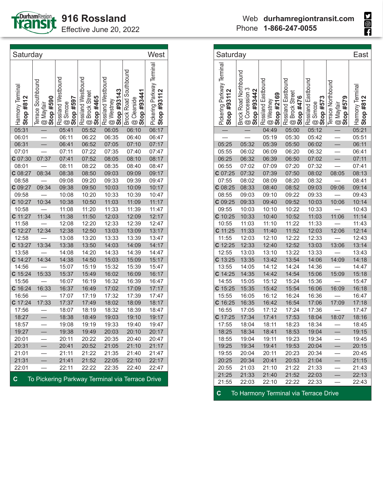

| Saturday                                  |                                                        |                                               |                                                          |                                                    |                                              | East                         |
|-------------------------------------------|--------------------------------------------------------|-----------------------------------------------|----------------------------------------------------------|----------------------------------------------------|----------------------------------------------|------------------------------|
| Pickering Parkway Terminal<br>Stop #93112 | Brock Road Northbound<br>@ Concession 3<br>Stop #93442 | Rossland Eastbound<br>@ Westney<br>Stop #2169 | Rossland Eastbound<br><b>@</b> Brock Street<br>Stop #476 | Rossland Eastbound<br><b>@</b> Simcoe<br>Stop #573 | Terrace Northbound<br>Stop #579<br>@ Mayfair | Harmony Termina<br>Stop #812 |
|                                           |                                                        | 04:49                                         | 05:00                                                    | 05:12                                              |                                              | 05:21                        |
|                                           |                                                        | 05:19                                         | 05:30                                                    | 05:42                                              |                                              | 05:51                        |
| 05:25                                     | 05:32                                                  | 05:39                                         | 05:50                                                    | 06:02                                              |                                              | 06:11                        |
| 05:55                                     | 06:02                                                  | 06:09                                         | 06:20                                                    | 06:32                                              |                                              | 06:41                        |
| 06:25                                     | 06:32                                                  | 06:39                                         | 06:50                                                    | 07:02                                              |                                              | 07:11                        |
| 06:55                                     | 07:02                                                  | 07:09                                         | 07:20                                                    | 07:32                                              |                                              | 07:41                        |
| $C$ 07:25                                 | 07:32                                                  | 07:39                                         | 07:50                                                    | 08:02                                              | 08:05                                        | 08:13                        |
| 07:55                                     | 08:02                                                  | 08:09                                         | 08:20                                                    | 08:32                                              |                                              | 08:41                        |
| $C$ 08:25                                 | 08:33                                                  | 08:40                                         | 08:52                                                    | 09:03                                              | 09:06                                        | 09:14                        |
| 08:55                                     | 09:03                                                  | 09:10                                         | 09:22                                                    | 09:33                                              |                                              | 09:43                        |
| C 09:25                                   | 09:33                                                  | 09:40                                         | 09:52                                                    | 10:03                                              | 10:06                                        | 10:14                        |
| 09:55                                     | 10:03                                                  | 10:10                                         | 10:22                                                    | 10:33                                              |                                              | 10:43                        |
| C 10:25                                   | 10:33                                                  | 10:40                                         | 10:52                                                    | 11:03                                              | 11:06                                        | 11:14                        |
| 10:55                                     | 11:03                                                  | 11:10                                         | 11:22                                                    | 11:33                                              |                                              | 11:43                        |
| C 11:25                                   | 11:33                                                  | 11:40                                         | 11:52                                                    | 12:03                                              | 12:06                                        | 12:14                        |
| 11:55                                     | 12:03                                                  | 12:10                                         | 12:22                                                    | 12:33                                              |                                              | 12:43                        |
| $C$ 12:25                                 | 12:33                                                  | 12:40                                         | 12:52                                                    | 13:03                                              | 13:06                                        | 13:14                        |
| 12:55                                     | 13:03                                                  | 13:10                                         | 13:22                                                    | 13:33                                              |                                              | 13:43                        |
| $C$ 13:25                                 | 13:35                                                  | 13:42                                         | 13:54                                                    | 14:06                                              | 14:09                                        | 14:18                        |
| 13:55                                     | 14:05                                                  | 14:12                                         | 14:24                                                    | 14:36                                              |                                              | 14:47                        |
| $C$ 14:25                                 | 14:35                                                  | 14:42                                         | 14:54                                                    | 15:06                                              | 15:09                                        | 15:18                        |
| 14:55                                     | 15:05                                                  | 15:12                                         | 15:24                                                    | 15:36                                              |                                              | 15:47                        |
| $C$ 15:25                                 | 15:35                                                  | 15:42                                         | 15:54                                                    | 16:06                                              | 16:09                                        | 16:18                        |
| 15:55                                     | 16:05                                                  | 16:12                                         | 16:24                                                    | 16:36                                              |                                              | 16:47                        |
| C 16:25                                   | 16:35                                                  | 16:42                                         | 16:54                                                    | 17:06                                              | 17:09                                        | 17:18                        |
| 16:55                                     | 17:05                                                  | 17:12                                         | 17:24                                                    | 17:36                                              |                                              | 17:47                        |
| C 17:25                                   | 17:34                                                  | 17:41                                         | 17:53                                                    | 18:04                                              | 18:07                                        | 18:16                        |
| 17:55                                     | 18:04                                                  | 18:11                                         | 18:23                                                    | 18:34                                              |                                              | 18:45                        |
| 18:25                                     | 18:34                                                  | 18:41                                         | 18:53                                                    | 19:04                                              |                                              | 19:15                        |
| 18:55                                     | 19:04                                                  | 19:11                                         | 19:23                                                    | 19:34                                              |                                              | 19:45                        |
| 19:25                                     | 19:34                                                  | 19:41                                         | 19:53                                                    | 20:04                                              |                                              | 20:15                        |
| 19:55                                     | 20:04                                                  | 20:11                                         | 20:23                                                    | 20:34                                              |                                              | 20:45                        |
| 20:25                                     | 20:34                                                  | 20:41                                         | 20:53                                                    | 21:04                                              |                                              | 21:15                        |
| 20:55                                     | 21:03                                                  | 21:10                                         | 21:22                                                    | 21:33                                              | —                                            | 21:43                        |
| 21:25                                     | 21:33                                                  | 21:40                                         | 21:52                                                    | 22:03                                              |                                              | 22:13                        |
| 21:55                                     | 22:03                                                  | 22:10                                         | 22:22                                                    | 22:33                                              |                                              | 22:43                        |

| Saturday                      |                                              |                                             |                                                   |                                                |                                                     | West                                      |
|-------------------------------|----------------------------------------------|---------------------------------------------|---------------------------------------------------|------------------------------------------------|-----------------------------------------------------|-------------------------------------------|
| Harmony Terminal<br>Stop #812 | Terrace Southbound<br>Stop #590<br>@ Mayfair | Rossland Westbound<br>Stop #597<br>@ Simcoe | Rossland Westbound<br>@ Brock Street<br>Stop #465 | Rossland Westbound<br>Stop #93143<br>@ Westney | Brock Road Southbound<br>Stop #93441<br>@ Clearside | Pickering Parkway Terminal<br>Stop #93112 |
| 05:31                         |                                              | 05:41                                       | 05:52                                             | 06:05                                          | 06:10                                               | 06:17                                     |
| 06:01                         |                                              | 06:11                                       | 06:22                                             | 06:35                                          | 06:40                                               | 06:47                                     |
| 06:31                         |                                              | 06:41                                       | 06:52                                             | 07:05                                          | 07:10                                               | 07:17                                     |
| 07:01                         |                                              | 07:11                                       | 07:22                                             | 07:35                                          | 07:40                                               | 07:47                                     |
| C 07:30                       | 07:37                                        | 07:41                                       | 07:52                                             | 08:05                                          | 08:10                                               | 08:17                                     |
| 08:01                         |                                              | 08:11                                       | 08:22                                             | 08:35                                          | 08:40                                               | 08:47                                     |
| C 08:27                       | 08:34                                        | 08:38                                       | 08:50                                             | 09:03                                          | 09:09                                               | 09:17                                     |
| 08:58                         |                                              | 09:08                                       | 09:20                                             | 09:33                                          | 09:39                                               | 09:47                                     |
| C 09:27                       | 09:34                                        | 09:38                                       | 09:50                                             | 10:03                                          | 10:09                                               | 10:17                                     |
| 09:58                         |                                              | 10:08                                       | 10:20                                             | 10:33                                          | 10:39                                               | 10:47                                     |
| $C$ 10:27                     | 10:34                                        | 10:38                                       | 10:50                                             | 11:03                                          | 11:09                                               | 11:17                                     |
| 10:58                         |                                              | 11:08                                       | 11:20                                             | 11:33                                          | 11:39                                               | 11:47                                     |
| C 11:27                       | 11:34                                        | 11:38                                       | 11:50                                             | 12:03                                          | 12:09                                               | 12:17                                     |
| 11:58                         |                                              | 12:08                                       | 12:20                                             | 12:33                                          | 12:39                                               | 12:47                                     |
| $C$ 12:27                     | 12:34                                        | 12:38                                       | 12:50                                             | 13:03                                          | 13:09                                               | 13:17                                     |
| 12:58                         |                                              | 13:08                                       | 13:20                                             | 13:33                                          | 13:39                                               | 13:47                                     |
| $C$ 13:27                     | 13:34                                        | 13:38                                       | 13:50                                             | 14:03                                          | 14:09                                               | 14:17                                     |
| 13:58                         |                                              | 14:08                                       | 14:20                                             | 14:33                                          | 14:39                                               | 14:47                                     |
| $C$ 14:27                     | 14:34                                        | 14:38                                       | 14:50                                             | 15:03                                          | 15:09                                               | 15:17                                     |
| 14:56                         |                                              | 15:07                                       | 15:19                                             | 15:32                                          | 15:39                                               | 15:47                                     |
| $C$ 15:24                     | 15:33                                        | 15:37                                       | 15:49                                             | 16:02                                          | 16:09                                               | 16:17                                     |
| 15:56                         |                                              | 16:07                                       | 16:19                                             | 16:32                                          | 16:39                                               | 16:47                                     |
| $C$ 16:24                     | 16:33                                        | 16:37                                       | 16:49                                             | 17:02                                          | 17:09                                               | 17:17                                     |
| 16:56                         |                                              | 17:07                                       | 17:19                                             | 17:32                                          | 17:39                                               | 17:47                                     |
| $C$ 17:24                     | 17:33                                        | 17:37                                       | 17:49                                             | 18:02                                          | 18:09                                               | 18:17                                     |
| 17:56                         |                                              | 18:07                                       | 18:19                                             | 18:32                                          | 18:39                                               | 18:47                                     |
| 18:27                         |                                              | 18:38                                       | 18:49                                             | 19:03                                          | 19:10                                               | 19:17                                     |
| 18:57                         |                                              | 19:08                                       | 19:19                                             | 19:33                                          | 19:40                                               | 19:47                                     |
| 19:27                         |                                              | 19:38                                       | 19:49                                             | 20:03                                          | 20:10                                               | 20:17                                     |
| 20:01                         |                                              | 20:11                                       | 20:22                                             | 20:35                                          | 20:40                                               | 20:47                                     |
| 20:31                         |                                              | 20:41                                       | 20:52                                             | 21:05                                          | 21:10                                               | 21:17                                     |
| 21:01                         |                                              | 21:11                                       | 21:22                                             | 21:35                                          | 21:40                                               | 21:47                                     |
| 21:31                         |                                              | 21:41                                       | 21:52                                             | 22:05                                          | 22:10                                               | 22:17                                     |
| 22:01                         |                                              | 22:11                                       | 22:22                                             | 22:35                                          | 22:40                                               | 22:47                                     |
| $\mathbf C$                   |                                              |                                             |                                                   |                                                | To Pickering Parkway Terminal via Terrace Drive     |                                           |